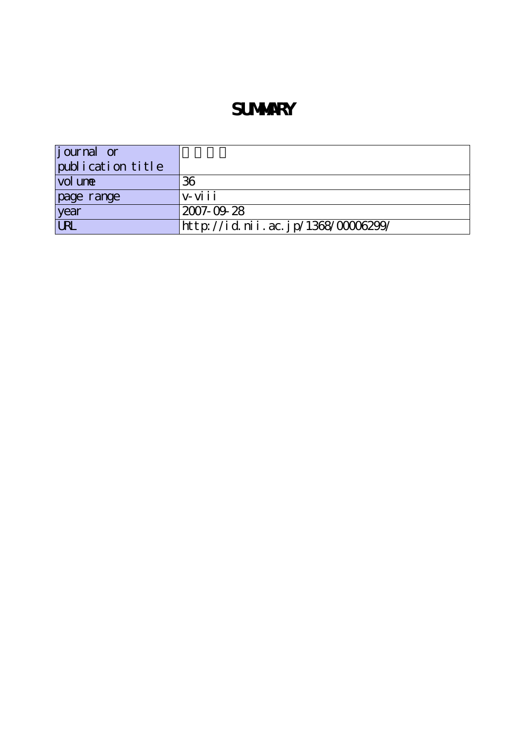# **SUMMARY**

| <i>j</i> ournal or |                                    |
|--------------------|------------------------------------|
| publication title  |                                    |
| vol une            | 36                                 |
| page range         | $V - Vi$ ii                        |
| year               | 2007-09-28                         |
| <b>URL</b>         | http://id.nii.ac.jp/1368/00006299/ |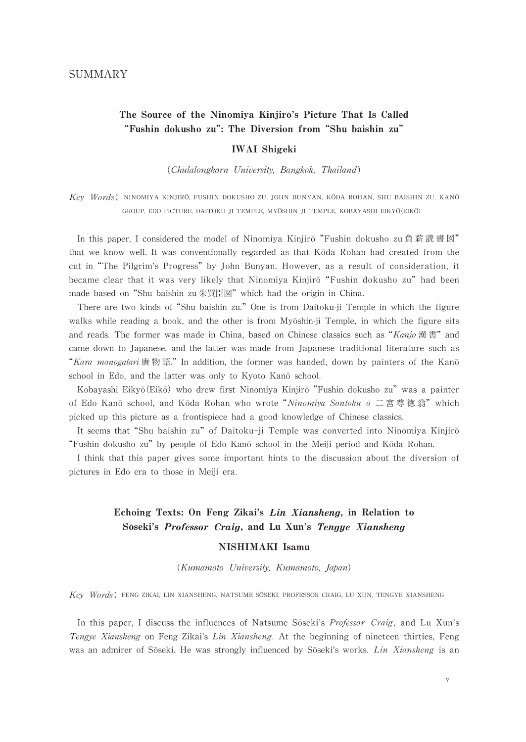# The Source of the Ninomiya Kinjirō's Picture That Is Called "Fushin dokusho zu": The Diversion from"Shu baishin zu"

#### IWAI Shigeki

(Chulalongkorn University, Bangkok, Thailand)

Key Words; NINOMIYA KINJIRŌ, FUSHIN DOKUSHO ZU, JOHN BUNYAN, KŌDA ROHAN, SHU BAISHIN ZU, KANŌ GROUP, EDO PICTURE, DAITOKU-JI TEMPLE, MYŌSHIN-JI TEMPLE, KOBAYASHI EIKYŌ(EIKŌ)

In this paper, I considered the model of Ninomiya Kinjirō "Fushin dokusho zu 負薪読書図" that we know well. It was conventionally regarded as that Koda Rohan had created from the cut in"The Pilgrim's Progress"by John Bunyan. However, as a result of consideration, it became clear that it was very likely that Ninomiya Kinjirō "Fushin dokusho zu" had been made based on"Shu baishin zu朱買臣図"which had the origin in China.

There are two kinds of"Shu baishin zu."One is from Daitoku-ji Temple in which the figure walks while reading a book, and the other is from Myōshin-ji Temple, in which the figure sits and reads. The former was made in China, based on Chinese classics such as "Kanjo漢書" and came down to Japanese, and the latter was made from Japanese traditional literature such as "Kara monogatari唐 物語." In addition, the former was handed, down by painters of the Kanō school in Edo, and the latter was only to Kyoto Kano school.

Kobayashi Eikyō(Eikō) who drew first Ninomiya Kinjirō "Fushin dokusho zu" was a painter of Edo Kanō school, and Kōda Rohan who wrote "Ninomiya Sontoku  $\bar{o}$  二 宮 尊 徳 翁"which picked up this picture as a frontispiece had a good knowledge of Chinese classics.

It seems that "Shu baishin zu" of Daitoku-ji Temple was converted into Ninomiya Kinjiro "Fushin dokusho zu" by people of Edo Kanō school in the Meiji period and Kōda Rohan.

I think that this paper gives some important hints to the discussion about the diversion of pictures in Edo era to those in Meiji era.

## Echoing Texts: On Feng Zikai's Lin Xiansheng, in Relation to Sōseki's Professor Craig, and Lu Xun's Tengye Xiansheng

#### NISHIMAKI Isamu

(Kumamoto University, Kumamoto, Japan)

Key Words; FENG ZIKAI, LIN XIANSHENG, NATSUME SÕSEKI, PROFESSOR CRAIG, LU XUN, TENGYE XIANSHENG

In this paper, I discuss the influences of Natsume Soseki's *Professor Craig*, and Lu Xun's Tengye Xiansheng on Feng Zikai's Lin Xiansheng. At the beginning of nineteen-thirties, Feng was an admirer of Sōseki. He was strongly influenced by Sōseki's works. Lin Xiansheng is an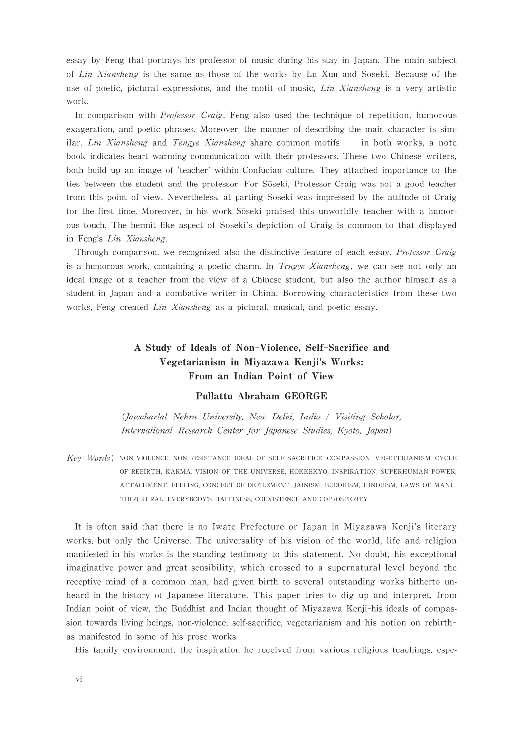essay by Feng that portrays his professor of music during his stay in Japan. The main subject of Lin Xiansheng is the same as those of the works by Lu Xun and Soseki. Because of the use of poetic, pictural expressions, and the motif of music,  $Lin Xiansheng$  is a very artistic work.

In comparison with *Professor Craig*, Feng also used the technique of repetition, humorous exageration, and poetic phrases. Moreover, the manner of describing the main character is similar. Lin Xiansheng and Tengye Xiansheng share common motifs —— in both works, a note book indicates heart-warming communication with their professors. These two Chinese writers, both build up an image of 'teacher' within Confucian culture. They attached importance to the ties between the student and the professor. For Sōseki, Professor Craig was not a good teacher from this point of view. Nevertheless, at parting Soseki was impressed by the attitude of Craig for the first time. Moreover, in his work Soseki praised this unworldly teacher with a humorous touch. The hermit-like aspect of Soseki's depiction of Craig is common to that displayed in Feng's Lin Xiansheng.

Through comparison, we recognized also the distinctive feature of each essay. Professor Craig is a humorous work, containing a poetic charm. In *Tengye Xiansheng*, we can see not only an ideal image of a teacher from the view of a Chinese student, but also the author himself as a student in Japan and a combative writer in China. Borrowing characteristics from these two works, Feng created Lin Xiansheng as a pictural, musical, and poetic essay.

# A Study of Ideals of Non-Violence, Self-Sacrifice and Vegetarianism in Miyazawa Kenji's Works: From an Indian Point of View

#### Pullattu Abraham GEORGE

(Jawaharlal Nehru University, New Delhi, India / Visiting Scholar, International Research Center for Japanese Studies, Kyoto, Japan)

Key Words; NON-VIOLENCE, NON-RESISTANCE, IDEAL OF SELF SACRIFICE, COMPASSION, VEGETERIANISM, CYCLE OF REBIRTH, KARMA, VISION OF THE UNIVERSE, HOKKEKYO, INSPIRATION, SUPERHUMAN POWER, ATTACHMENT, FEELING, CONCERT OF DEFILEMENT, JAINISM, BUDDHISM, HINDUISM, LAWS OF MANU, THIRUKURAL, EVERYBODY'S HAPPINESS, COEXISTENCE AND COPROSPERITY

It is often said that there is no Iwate Prefecture or Japan in Miyazawa Kenji's literary works, but only the Universe. The universality of his vision of the world, life and religion manifested in his works is the standing testimony to this statement. No doubt, his exceptional imaginative power and great sensibility, which crossed to a supernatural level beyond the receptive mind of a common man, had given birth to several outstanding works hitherto unheard in the history of Japanese literature. This paper tries to dig up and interpret, from Indian point of view, the Buddhist and Indian thought of Miyazawa Kenji-his ideals of compassion towards living beings, non-violence, self-sacrifice, vegetarianism and his notion on rebirthas manifested in some of his prose works.

His family environment, the inspiration he received from various religious teachings, espe-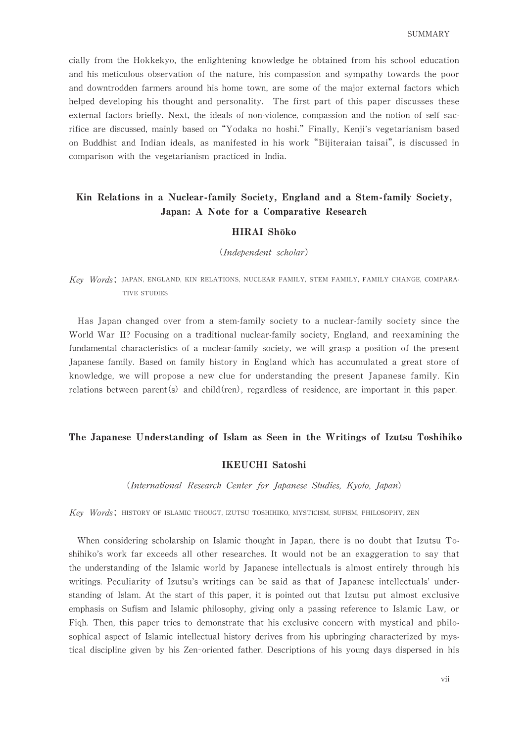cially from the Hokkekyo, the enlightening knowledge he obtained from his school education and his meticulous observation of the nature, his compassion and sympathy towards the poor and downtrodden farmers around his home town, are some of the major external factors which helped developing his thought and personality. The first part of this paper discusses these external factors briefly. Next, the ideals of non-violence, compassion and the notion of self sacrifice are discussed, mainly based on"Yodaka no hoshi."Finally, Kenji's vegetarianism based on Buddhist and Indian ideals, as manifested in his work"Bijiteraian taisai", is discussed in comparison with the vegetarianism practiced in India.

# Kin Relations in a Nuclear-family Society, England and a Stem-family Society, Japan: A Note for a Comparative Research

#### HIRAI Shōko

(Independent scholar)

Key Words; JAPAN, ENGLAND, KIN RELATIONS, NUCLEAR FAMILY, STEM FAMILY, FAMILY CHANGE, COMPARA-TIVE STUDIES

Has Japan changed over from a stem-family society to a nuclear-family society since the World War II? Focusing on a traditional nuclear-family society, England, and reexamining the fundamental characteristics of a nuclear-family society, we will grasp a position of the present Japanese family. Based on family history in England which has accumulated a great store of knowledge, we will propose a new clue for understanding the present Japanese family. Kin relations between parent(s) and child(ren), regardless of residence, are important in this paper.

#### The Japanese Understanding of Islam as Seen in the Writings of Izutsu Toshihiko

#### IKEUCHI Satoshi

(International Research Center for Japanese Studies, Kyoto, Japan)

Key Words; HISTORY OF ISLAMIC THOUGT, IZUTSU TOSHIHIKO, MYSTICISM, SUFISM, PHILOSOPHY, ZEN

When considering scholarship on Islamic thought in Japan, there is no doubt that Izutsu Toshihiko's work far exceeds all other researches. It would not be an exaggeration to say that the understanding of the Islamic world by Japanese intellectuals is almost entirely through his writings. Peculiarity of Izutsu's writings can be said as that of Japanese intellectuals'understanding of Islam. At the start of this paper, it is pointed out that Izutsu put almost exclusive emphasis on Sufism and Islamic philosophy, giving only a passing reference to Islamic Law, or Fiqh. Then, this paper tries to demonstrate that his exclusive concern with mystical and philosophical aspect of Islamic intellectual history derives from his upbringing characterized by mystical discipline given by his Zen-oriented father. Descriptions of his young days dispersed in his